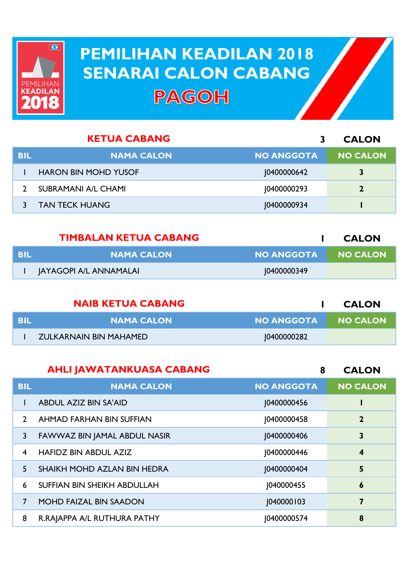

## **PEMILIHAN KEADILAN 2018 PEMILIHAN KEADILAN 2018 SENARAI CALON CABANG SENARAI CALON CABANGPAGOH**

|            | <b>KETUA CABANG</b>         |                   | <b>CALON</b>    |
|------------|-----------------------------|-------------------|-----------------|
| <b>BIL</b> | <b>NAMA CALON</b>           | <b>NO ANGGOTA</b> | <b>NO CALON</b> |
|            | <b>HARON BIN MOHD YUSOF</b> | 10400000642       | 3               |
|            | <b>SUBRAMANI A/L CHAMI</b>  | 10400000293       |                 |
|            | <b>TAN TECK HUANG</b>       | 10400000934       |                 |

|     | <b>TIMBALAN KETUA CABANG</b> |                   | <b>CALON</b> |
|-----|------------------------------|-------------------|--------------|
| BIL | I NAMA CALON I               | <b>NO ANGGOTA</b> | I NO CALON   |
|     | JAYAGOPI A/L ANNAMALAI       | 10400000349       |              |

|       | <b>NAIB KETUA CABANG</b> |                     | <b>CALON</b> |
|-------|--------------------------|---------------------|--------------|
| - BIL | <b>NAMA CALON</b>        | NO ANGGOTA NO CALON |              |
|       | ZULKARNAIN BIN MAHAMED.  | 10400000282         |              |

|               | <b>AHLI JAWATANKUASA CABANG</b> | 8                  | <b>CALON</b>            |
|---------------|---------------------------------|--------------------|-------------------------|
| <b>BIL</b>    | <b>NAMA CALON</b>               | <b>NO ANGGOTA</b>  | <b>NO CALON</b>         |
|               | <b>ABDUL AZIZ BIN SA'AID</b>    | <b>J0400000456</b> |                         |
| $\mathcal{P}$ | AHMAD FARHAN BIN SUFFIAN        | 10400000458        | $\overline{2}$          |
| 3             | FAWWAZ BIN JAMAL ABDUL NASIR    | <b>J0400000406</b> | 3                       |
| 4             | <b>HAFIDZ BIN ABDUL AZIZ</b>    | 10400000446        | $\overline{\mathbf{4}}$ |
| 5             | SHAIKH MOHD AZLAN BIN HEDRA     | <b>J0400000404</b> | 5                       |
| 6             | SUFFIAN BIN SHEIKH ABDULLAH     | 1040000455         | 6                       |
| 7             | <b>MOHD FAIZAL BIN SAADON</b>   | 1040000103         | 7                       |
| 8             | R.RAJAPPA A/L RUTHURA PATHY     | 10400000574        | 8                       |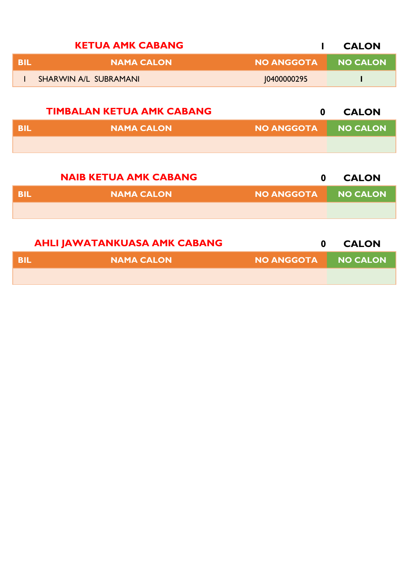|            | <b>KETUA AMK CABANG</b>          |                   | <b>CALON</b>    |
|------------|----------------------------------|-------------------|-----------------|
| <b>BIL</b> | <b>NAMA CALON</b>                | <b>NO ANGGOTA</b> | <b>NO CALON</b> |
| L          | <b>SHARWIN A/L SUBRAMANI</b>     | J0400000295       |                 |
|            |                                  |                   |                 |
|            | <b>TIMBALAN KETUA AMK CABANG</b> | $\mathbf 0$       | <b>CALON</b>    |
| <b>BIL</b> | <b>NAMA CALON</b>                | <b>NO ANGGOTA</b> | <b>NO CALON</b> |
|            |                                  |                   |                 |
|            |                                  |                   |                 |
|            | <b>NAIB KETUA AMK CABANG</b>     | $\bf{0}$          | <b>CALON</b>    |

| NO ANGGOTA NO CALON |
|---------------------|
|                     |

|      | <b>AHLI JAWATANKUASA AMK CABANG</b> |                     | <b>CALON</b> |
|------|-------------------------------------|---------------------|--------------|
| -BIL | NAMA CALON                          | NO ANGGOTA NO CALON |              |
|      |                                     |                     |              |